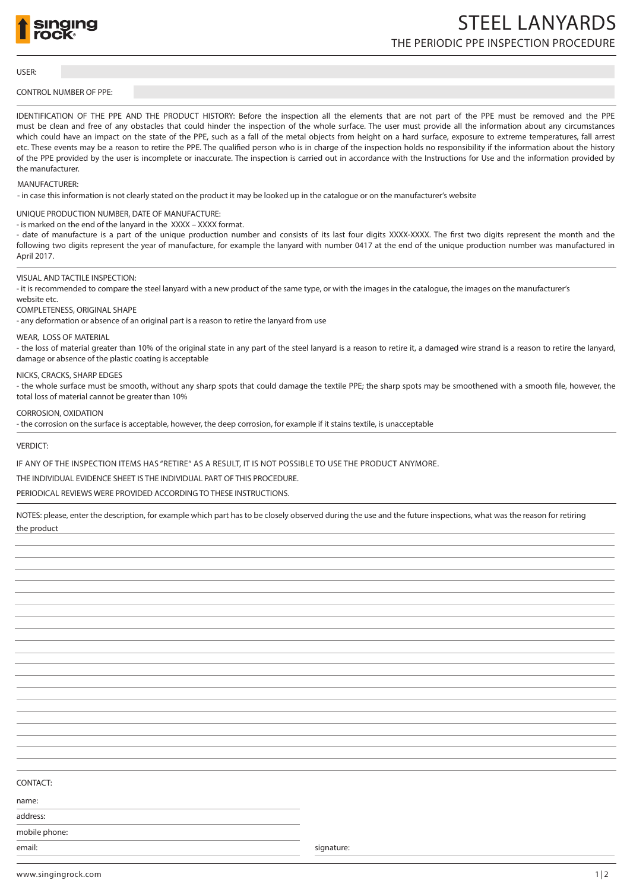

# THE PERIODIC PPE INSPECTION PROCEDURE STEEL LANYARDS

#### USER:

# CONTROL NUMBER OF PPE:

IDENTIFICATION OF THE PPE AND THE PRODUCT HISTORY: Before the inspection all the elements that are not part of the PPE must be removed and the PPE must be clean and free of any obstacles that could hinder the inspection of the whole surface. The user must provide all the information about any circumstances which could have an impact on the state of the PPE, such as a fall of the metal objects from height on a hard surface, exposure to extreme temperatures, fall arrest etc. These events may be a reason to retire the PPE. The qualified person who is in charge of the inspection holds no responsibility if the information about the history of the PPE provided by the user is incomplete or inaccurate. The inspection is carried out in accordance with the Instructions for Use and the information provided by the manufacturer.

#### MANUFACTURER:

- in case this information is not clearly stated on the product it may be looked up in the catalogue or on the manufacturer's website

## UNIQUE PRODUCTION NUMBER, DATE OF MANUFACTURE:

- is marked on the end of the lanyard in the XXXX – XXXX format.

- date of manufacture is a part of the unique production number and consists of its last four digits XXXX-XXXX. The first two digits represent the month and the following two digits represent the year of manufacture, for example the lanyard with number 0417 at the end of the unique production number was manufactured in April 2017.

#### VISUAL AND TACTILE INSPECTION:

- it is recommended to compare the steel lanyard with a new product of the same type, or with the images in the catalogue, the images on the manufacturer's

# website etc.

#### COMPLETENESS, ORIGINAL SHAPE

- any deformation or absence of an original part is a reason to retire the lanyard from use

## WEAR, LOSS OF MATERIAL

- the loss of material greater than 10% of the original state in any part of the steel lanyard is a reason to retire it, a damaged wire strand is a reason to retire the lanyard, damage or absence of the plastic coating is acceptable

#### NICKS, CRACKS, SHARP EDGES

- the whole surface must be smooth, without any sharp spots that could damage the textile PPE; the sharp spots may be smoothened with a smooth file, however, the total loss of material cannot be greater than 10%

# CORROSION, OXIDATION

- the corrosion on the surface is acceptable, however, the deep corrosion, for example if it stains textile, is unacceptable

## VERDICT:

## IF ANY OF THE INSPECTION ITEMS HAS "RETIRE" AS A RESULT, IT IS NOT POSSIBLE TO USE THE PRODUCT ANYMORE.

## THE INDIVIDUAL EVIDENCE SHEET IS THE INDIVIDUAL PART OF THIS PROCEDURE.

PERIODICAL REVIEWS WERE PROVIDED ACCORDING TO THESE INSTRUCTIONS.

NOTES: please, enter the description, for example which part has to be closely observed during the use and the future inspections, what was the reason for retiring the product

CONTACT:

name:

address: mobile phone:

email: signature: signature: signature: signature: signature: signature: signature: signature: signature: signature: signature: signature: signature: signature: signature: signature: signature: signature: signature: signat